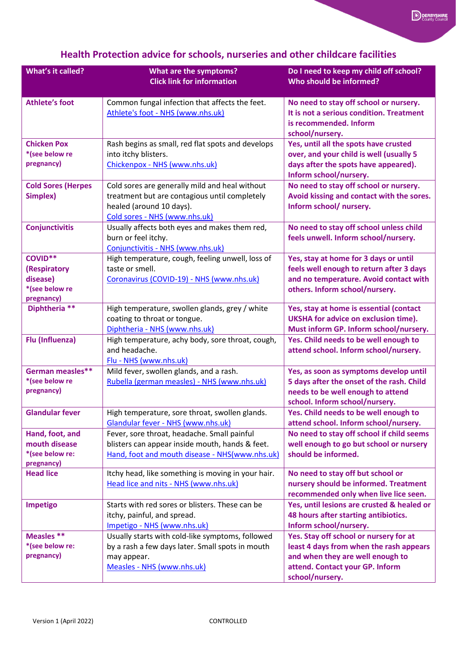| <b>What's it called?</b>                                                   | <b>What are the symptoms?</b><br><b>Click link for information</b>                                                                                           | Do I need to keep my child off school?<br>Who should be informed?                                                                                                           |
|----------------------------------------------------------------------------|--------------------------------------------------------------------------------------------------------------------------------------------------------------|-----------------------------------------------------------------------------------------------------------------------------------------------------------------------------|
| <b>Athlete's foot</b>                                                      | Common fungal infection that affects the feet.<br>Athlete's foot - NHS (www.nhs.uk)                                                                          | No need to stay off school or nursery.<br>It is not a serious condition. Treatment<br>is recommended. Inform<br>school/nursery.                                             |
| <b>Chicken Pox</b><br>*(see below re<br>pregnancy)                         | Rash begins as small, red flat spots and develops<br>into itchy blisters.<br>Chickenpox - NHS (www.nhs.uk)                                                   | Yes, until all the spots have crusted<br>over, and your child is well (usually 5<br>days after the spots have appeared).<br>Inform school/nursery.                          |
| <b>Cold Sores (Herpes</b><br>Simplex)                                      | Cold sores are generally mild and heal without<br>treatment but are contagious until completely<br>healed (around 10 days).<br>Cold sores - NHS (www.nhs.uk) | No need to stay off school or nursery.<br>Avoid kissing and contact with the sores.<br>Inform school/ nursery.                                                              |
| <b>Conjunctivitis</b>                                                      | Usually affects both eyes and makes them red,<br>burn or feel itchy.<br>Conjunctivitis - NHS (www.nhs.uk)                                                    | No need to stay off school unless child<br>feels unwell. Inform school/nursery.                                                                                             |
| <b>COVID**</b><br>(Respiratory<br>disease)<br>*(see below re<br>pregnancy) | High temperature, cough, feeling unwell, loss of<br>taste or smell.<br>Coronavirus (COVID-19) - NHS (www.nhs.uk)                                             | Yes, stay at home for 3 days or until<br>feels well enough to return after 3 days<br>and no temperature. Avoid contact with<br>others. Inform school/nursery.               |
| Diphtheria **                                                              | High temperature, swollen glands, grey / white<br>coating to throat or tongue.<br>Diphtheria - NHS (www.nhs.uk)                                              | Yes, stay at home is essential (contact<br><b>UKSHA for advice on exclusion time).</b><br>Must inform GP. Inform school/nursery.                                            |
| Flu (Influenza)                                                            | High temperature, achy body, sore throat, cough,<br>and headache.<br>Flu - NHS (www.nhs.uk)                                                                  | Yes. Child needs to be well enough to<br>attend school. Inform school/nursery.                                                                                              |
| German measles**<br>*(see below re<br>pregnancy)                           | Mild fever, swollen glands, and a rash.<br>Rubella (german measles) - NHS (www.nhs.uk)                                                                       | Yes, as soon as symptoms develop until<br>5 days after the onset of the rash. Child<br>needs to be well enough to attend<br>school. Inform school/nursery.                  |
| <b>Glandular fever</b>                                                     | High temperature, sore throat, swollen glands.<br>Glandular fever - NHS (www.nhs.uk)                                                                         | Yes. Child needs to be well enough to<br>attend school. Inform school/nursery.                                                                                              |
| Hand, foot, and<br>mouth disease<br>*(see below re:<br>pregnancy)          | Fever, sore throat, headache. Small painful<br>blisters can appear inside mouth, hands & feet.<br>Hand, foot and mouth disease - NHS(www.nhs.uk)             | No need to stay off school if child seems<br>well enough to go but school or nursery<br>should be informed.                                                                 |
| <b>Head lice</b>                                                           | Itchy head, like something is moving in your hair.<br>Head lice and nits - NHS (www.nhs.uk)                                                                  | No need to stay off but school or<br>nursery should be informed. Treatment<br>recommended only when live lice seen.                                                         |
| Impetigo                                                                   | Starts with red sores or blisters. These can be<br>itchy, painful, and spread.<br>Impetigo - NHS (www.nhs.uk)                                                | Yes, until lesions are crusted & healed or<br>48 hours after starting antibiotics.<br>Inform school/nursery.                                                                |
| Measles **<br>*(see below re:<br>pregnancy)                                | Usually starts with cold-like symptoms, followed<br>by a rash a few days later. Small spots in mouth<br>may appear.<br>Measles - NHS (www.nhs.uk)            | Yes. Stay off school or nursery for at<br>least 4 days from when the rash appears<br>and when they are well enough to<br>attend. Contact your GP. Inform<br>school/nursery. |